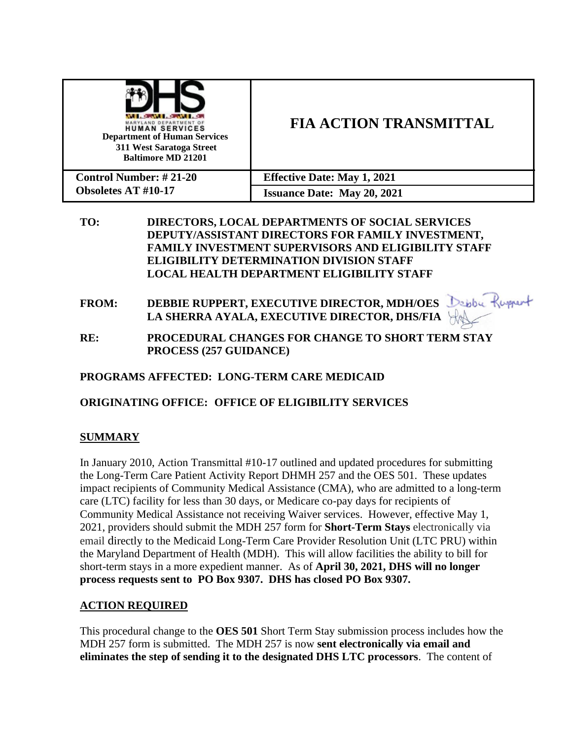| VLAND DEPARTMENT O<br><b>HUMAN SERVICES</b><br><b>Department of Human Services</b><br>311 West Saratoga Street<br><b>Baltimore MD 21201</b> | <b>FIA ACTION TRANSMITTAL</b>      |
|---------------------------------------------------------------------------------------------------------------------------------------------|------------------------------------|
| <b>Control Number: #21-20</b><br><b>Obsoletes AT #10-17</b>                                                                                 | <b>Effective Date: May 1, 2021</b> |
|                                                                                                                                             | <b>Issuance Date: May 20, 2021</b> |

**TO: DIRECTORS, LOCAL DEPARTMENTS OF SOCIAL SERVICES DEPUTY/ASSISTANT DIRECTORS FOR FAMILY INVESTMENT, FAMILY INVESTMENT SUPERVISORS AND ELIGIBILITY STAFF ELIGIBILITY DETERMINATION DIVISION STAFF LOCAL HEALTH DEPARTMENT ELIGIBILITY STAFF**

- Deppy Ruppert **FROM: DEBBIE RUPPERT, EXECUTIVE DIRECTOR, MDH/OES LA SHERRA AYALA, EXECUTIVE DIRECTOR, DHS/FIA**
- **RE: PROCEDURAL CHANGES FOR CHANGE TO SHORT TERM STAY PROCESS (257 GUIDANCE)**

# **PROGRAMS AFFECTED: LONG-TERM CARE MEDICAID**

## **ORIGINATING OFFICE: OFFICE OF ELIGIBILITY SERVICES**

## **SUMMARY**

In January 2010, Action Transmittal #10-17 outlined and updated procedures for submitting the Long-Term Care Patient Activity Report DHMH 257 and the OES 501. These updates impact recipients of Community Medical Assistance (CMA), who are admitted to a long-term care (LTC) facility for less than 30 days, or Medicare co-pay days for recipients of Community Medical Assistance not receiving Waiver services. However, effective May 1, 2021, providers should submit the MDH 257 form for **Short-Term Stays** electronically via email directly to the Medicaid Long-Term Care Provider Resolution Unit (LTC PRU) within the Maryland Department of Health (MDH). This will allow facilities the ability to bill for short-term stays in a more expedient manner. As of **April 30, 2021, DHS will no longer process requests sent to PO Box 9307. DHS has closed PO Box 9307.**

#### **ACTION REQUIRED**

This procedural change to the **OES 501** Short Term Stay submission process includes how the MDH 257 form is submitted. The MDH 257 is now **sent electronically via email and eliminates the step of sending it to the designated DHS LTC processors**. The content of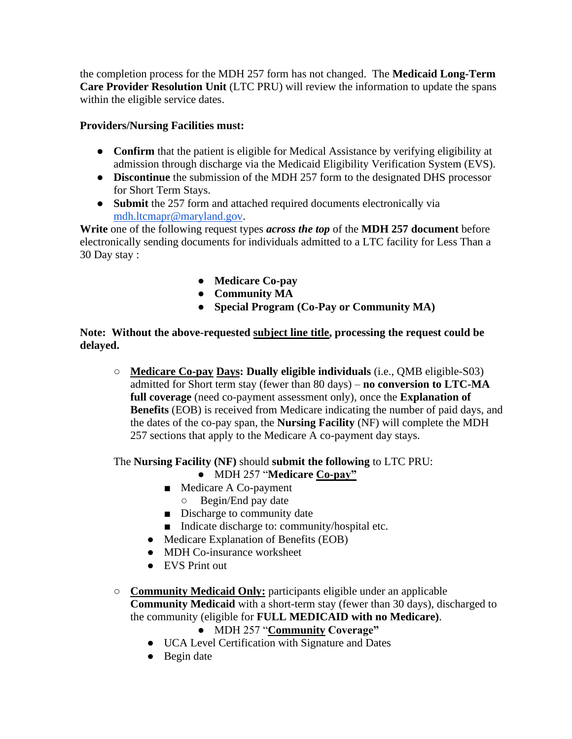the completion process for the MDH 257 form has not changed. The **Medicaid Long-Term Care Provider Resolution Unit** (LTC PRU) will review the information to update the spans within the eligible service dates.

## **Providers/Nursing Facilities must:**

- **Confirm** that the patient is eligible for Medical Assistance by verifying eligibility at admission through discharge via the Medicaid Eligibility Verification System (EVS).
- **Discontinue** the submission of the MDH 257 form to the designated DHS processor for Short Term Stays.
- **Submit** the 257 form and attached required documents electronically via [mdh.ltcmapr@maryland.gov.](mailto:mdh.ltcmapr@maryland.gov)

**Write** one of the following request types *across the top* of the **MDH 257 document** before electronically sending documents for individuals admitted to a LTC facility for Less Than a 30 Day stay :

- **Medicare Co-pay**
- **Community MA**
- **Special Program (Co-Pay or Community MA)**

#### **Note: Without the above-requested subject line title, processing the request could be delayed.**

○ **Medicare Co-pay Days: Dually eligible individuals** (i.e., QMB eligible-S03) admitted for Short term stay (fewer than 80 days) – **no conversion to LTC-MA full coverage** (need co-payment assessment only), once the **Explanation of Benefits** (EOB) is received from Medicare indicating the number of paid days, and the dates of the co-pay span, the **Nursing Facility** (NF) will complete the MDH 257 sections that apply to the Medicare A co-payment day stays.

The **Nursing Facility (NF)** should **submit the following** to LTC PRU:

- MDH 257 "**Medicare Co-pay"**
- Medicare A Co-payment
	- Begin/End pay date
- Discharge to community date
- Indicate discharge to: community/hospital etc.
- Medicare Explanation of Benefits (EOB)
- MDH Co-insurance worksheet
- EVS Print out
- **Community Medicaid Only:** participants eligible under an applicable **Community Medicaid** with a short-term stay (fewer than 30 days), discharged to the community (eligible for **FULL MEDICAID with no Medicare)**.

## ● MDH 257 "**Community Coverage"**

- UCA Level Certification with Signature and Dates
- Begin date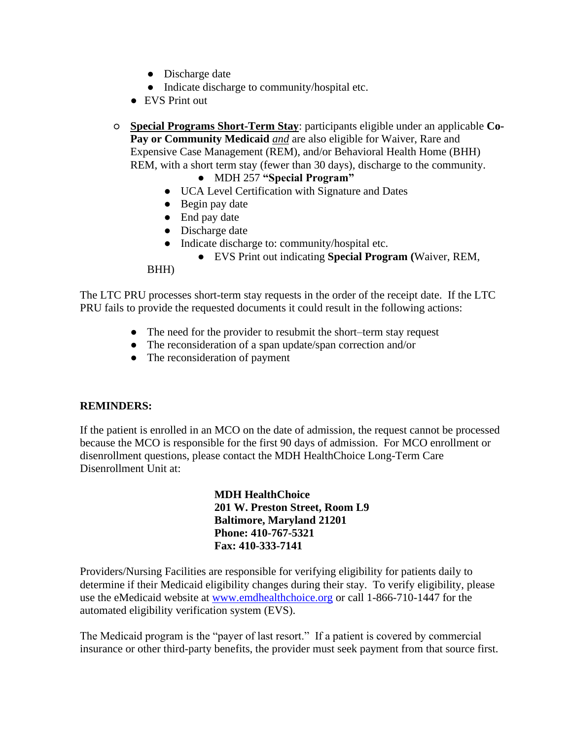- Discharge date
- Indicate discharge to community/hospital etc.
- EVS Print out
- **Special Programs Short-Term Stay**: participants eligible under an applicable **Co-Pay or Community Medicaid** *and* are also eligible for Waiver, Rare and Expensive Case Management (REM), and/or Behavioral Health Home (BHH) REM, with a short term stay (fewer than 30 days), discharge to the community.
	- MDH 257 **"Special Program"**
	- UCA Level Certification with Signature and Dates
	- $\bullet$  Begin pay date
	- End pay date
	- Discharge date
	- Indicate discharge to: community/hospital etc.
		- EVS Print out indicating **Special Program (**Waiver, REM,

#### BHH)

The LTC PRU processes short-term stay requests in the order of the receipt date. If the LTC PRU fails to provide the requested documents it could result in the following actions:

- The need for the provider to resubmit the short–term stay request
- The reconsideration of a span update/span correction and/or
- The reconsideration of payment

## **REMINDERS:**

If the patient is enrolled in an MCO on the date of admission, the request cannot be processed because the MCO is responsible for the first 90 days of admission. For MCO enrollment or disenrollment questions, please contact the MDH HealthChoice Long-Term Care Disenrollment Unit at:

> **MDH HealthChoice 201 W. Preston Street, Room L9 Baltimore, Maryland 21201 Phone: 410-767-5321 Fax: 410-333-7141**

Providers/Nursing Facilities are responsible for verifying eligibility for patients daily to determine if their Medicaid eligibility changes during their stay. To verify eligibility, please use the eMedicaid website at [www.emdhealthchoice.org](http://www.emdhealthchoice.org/) or call 1-866-710-1447 for the automated eligibility verification system (EVS).

The Medicaid program is the "payer of last resort." If a patient is covered by commercial insurance or other third-party benefits, the provider must seek payment from that source first.